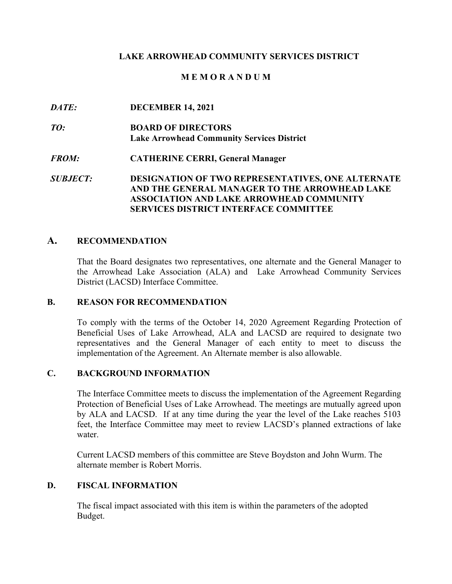## **LAKE ARROWHEAD COMMUNITY SERVICES DISTRICT**

## **M E M O R A N D U M**

 $\bm{D} \bm{A} \bm{T} \bm{E}$  $TO:$  $FROM:$ *DATE:* **DECEMBER 14, 2021 ROARD OF DIRECTORS Lake Arrowhead Community Services District**  *FROM:* **CATHERINE CERRI, General Manager**  *SUBJECT:* **DESIGNATION OF TWO REPRESENTATIVES, ONE ALTERNATE AND THE GENERAL MANAGER TO THE ARROWHEAD LAKE ASSOCIATION AND LAKE ARROWHEAD COMMUNITY SERVICES DISTRICT INTERFACE COMMITTEE** 

## **A. RECOMMENDATION**

That the Board designates two representatives, one alternate and the General Manager to the Arrowhead Lake Association (ALA) and Lake Arrowhead Community Services District (LACSD) Interface Committee.

### **B. REASON FOR RECOMMENDATION**

 Beneficial Uses of Lake Arrowhead, ALA and LACSD are required to designate two implementation of the Agreement. An Alternate member is also allowable. To comply with the terms of the October 14, 2020 Agreement Regarding Protection of representatives and the General Manager of each entity to meet to discuss the

### **C. BACKGROUND INFORMATION**

 The Interface Committee meets to discuss the implementation of the Agreement Regarding feet, the Interface Committee may meet to review LACSD's planned extractions of lake Protection of Beneficial Uses of Lake Arrowhead. The meetings are mutually agreed upon by ALA and LACSD. If at any time during the year the level of the Lake reaches 5103 water.

Current LACSD members of this committee are Steve Boydston and John Wurm. The alternate member is Robert Morris.

### **D. FISCAL INFORMATION**

 The fiscal impact associated with this item is within the parameters of the adopted Budget.